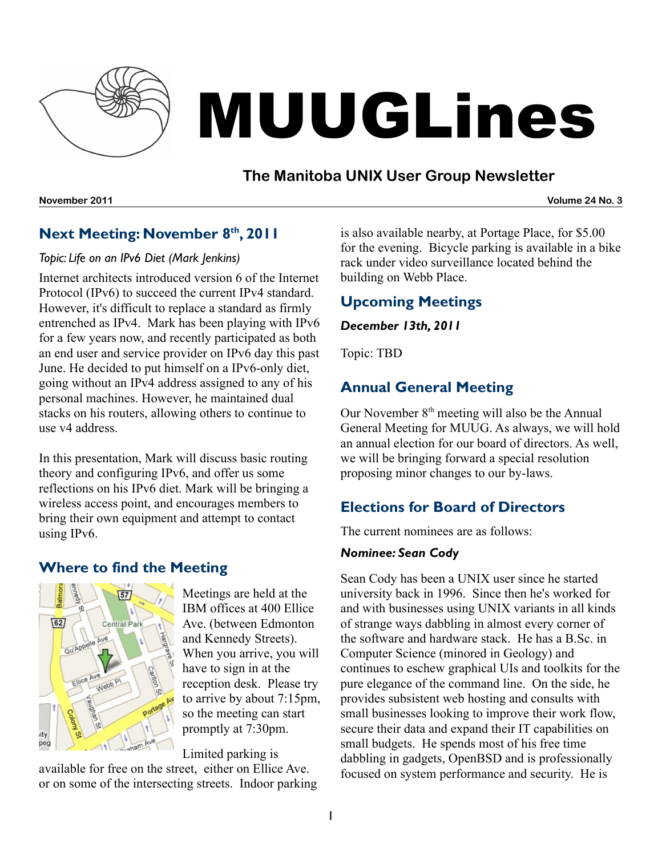

# MUUGLines

## **The Manitoba UNIX User Group Newsletter**

**November 2011 Volume 24 No. 3**

## **Next Meeting: November 8 th , 2011**

#### *Topic: Life on an IPv6 Diet (Mark Jenkins)*

Internet architects introduced version 6 of the Internet Protocol (IPv6) to succeed the current IPv4 standard. However, it's difficult to replace a standard as firmly entrenched as IPv4. Mark has been playing with IPv6 for a few years now, and recently participated as both an end user and service provider on IPv6 day this past June. He decided to put himself on a IPv6-only diet, going without an IPv4 address assigned to any of his personal machines. However, he maintained dual stacks on his routers, allowing others to continue to use v4 address.

In this presentation, Mark will discuss basic routing theory and configuring IPv6, and offer us some reflections on his IPv6 diet. Mark will be bringing a wireless access point, and encourages members to bring their own equipment and attempt to contact using IPv6.

## **Where to find the Meeting**



Meetings are held at the IBM offices at 400 Ellice Ave. (between Edmonton and Kennedy Streets). When you arrive, you will have to sign in at the reception desk. Please try to arrive by about 7:15pm, so the meeting can start promptly at 7:30pm.

#### Limited parking is

available for free on the street, either on Ellice Ave. or on some of the intersecting streets. Indoor parking is also available nearby, at Portage Place, for \$5.00 for the evening. Bicycle parking is available in a bike rack under video surveillance located behind the building on Webb Place.

## **Upcoming Meetings**

#### *December 13th, 2011*

Topic: TBD

## **Annual General Meeting**

Our November 8<sup>th</sup> meeting will also be the Annual General Meeting for MUUG. As always, we will hold an annual election for our board of directors. As well, we will be bringing forward a special resolution proposing minor changes to our by-laws.

## **Elections for Board of Directors**

The current nominees are as follows:

#### *Nominee: Sean Cody*

Sean Cody has been a UNIX user since he started university back in 1996. Since then he's worked for and with businesses using UNIX variants in all kinds of strange ways dabbling in almost every corner of the software and hardware stack. He has a B.Sc. in Computer Science (minored in Geology) and continues to eschew graphical UIs and toolkits for the pure elegance of the command line. On the side, he provides subsistent web hosting and consults with small businesses looking to improve their work flow, secure their data and expand their IT capabilities on small budgets. He spends most of his free time dabbling in gadgets, OpenBSD and is professionally focused on system performance and security. He is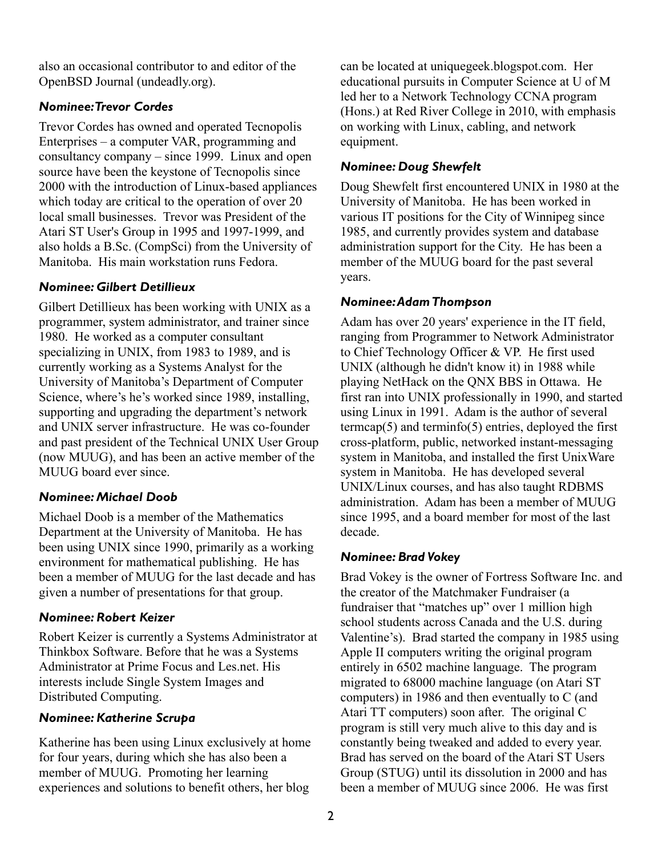also an occasional contributor to and editor of the OpenBSD Journal (undeadly.org).

#### *Nominee:Trevor Cordes*

Trevor Cordes has owned and operated Tecnopolis Enterprises – a computer VAR, programming and consultancy company – since 1999. Linux and open source have been the keystone of Tecnopolis since 2000 with the introduction of Linux-based appliances which today are critical to the operation of over 20 local small businesses. Trevor was President of the Atari ST User's Group in 1995 and 1997-1999, and also holds a B.Sc. (CompSci) from the University of Manitoba. His main workstation runs Fedora.

#### *Nominee: Gilbert Detillieux*

Gilbert Detillieux has been working with UNIX as a programmer, system administrator, and trainer since 1980. He worked as a computer consultant specializing in UNIX, from 1983 to 1989, and is currently working as a Systems Analyst for the University of Manitoba's Department of Computer Science, where's he's worked since 1989, installing, supporting and upgrading the department's network and UNIX server infrastructure. He was co-founder and past president of the Technical UNIX User Group (now MUUG), and has been an active member of the MUUG board ever since.

#### *Nominee: Michael Doob*

Michael Doob is a member of the Mathematics Department at the University of Manitoba. He has been using UNIX since 1990, primarily as a working environment for mathematical publishing. He has been a member of MUUG for the last decade and has given a number of presentations for that group.

#### *Nominee: Robert Keizer*

Robert Keizer is currently a Systems Administrator at Thinkbox Software. Before that he was a Systems Administrator at Prime Focus and Les.net. His interests include Single System Images and Distributed Computing.

#### *Nominee: Katherine Scrupa*

Katherine has been using Linux exclusively at home for four years, during which she has also been a member of MUUG. Promoting her learning experiences and solutions to benefit others, her blog

can be located at uniquegeek.blogspot.com. Her educational pursuits in Computer Science at U of M led her to a Network Technology CCNA program (Hons.) at Red River College in 2010, with emphasis on working with Linux, cabling, and network equipment.

#### *Nominee: Doug Shewfelt*

Doug Shewfelt first encountered UNIX in 1980 at the University of Manitoba. He has been worked in various IT positions for the City of Winnipeg since 1985, and currently provides system and database administration support for the City. He has been a member of the MUUG board for the past several years.

#### *Nominee:AdamThompson*

Adam has over 20 years' experience in the IT field, ranging from Programmer to Network Administrator to Chief Technology Officer & VP. He first used UNIX (although he didn't know it) in 1988 while playing NetHack on the QNX BBS in Ottawa. He first ran into UNIX professionally in 1990, and started using Linux in 1991. Adam is the author of several termcap $(5)$  and terminfo $(5)$  entries, deployed the first cross-platform, public, networked instant-messaging system in Manitoba, and installed the first UnixWare system in Manitoba. He has developed several UNIX/Linux courses, and has also taught RDBMS administration. Adam has been a member of MUUG since 1995, and a board member for most of the last decade.

#### *Nominee: Brad Vokey*

Brad Vokey is the owner of Fortress Software Inc. and the creator of the Matchmaker Fundraiser (a fundraiser that "matches up" over 1 million high school students across Canada and the U.S. during Valentine's). Brad started the company in 1985 using Apple II computers writing the original program entirely in 6502 machine language. The program migrated to 68000 machine language (on Atari ST computers) in 1986 and then eventually to C (and Atari TT computers) soon after. The original C program is still very much alive to this day and is constantly being tweaked and added to every year. Brad has served on the board of the Atari ST Users Group (STUG) until its dissolution in 2000 and has been a member of MUUG since 2006. He was first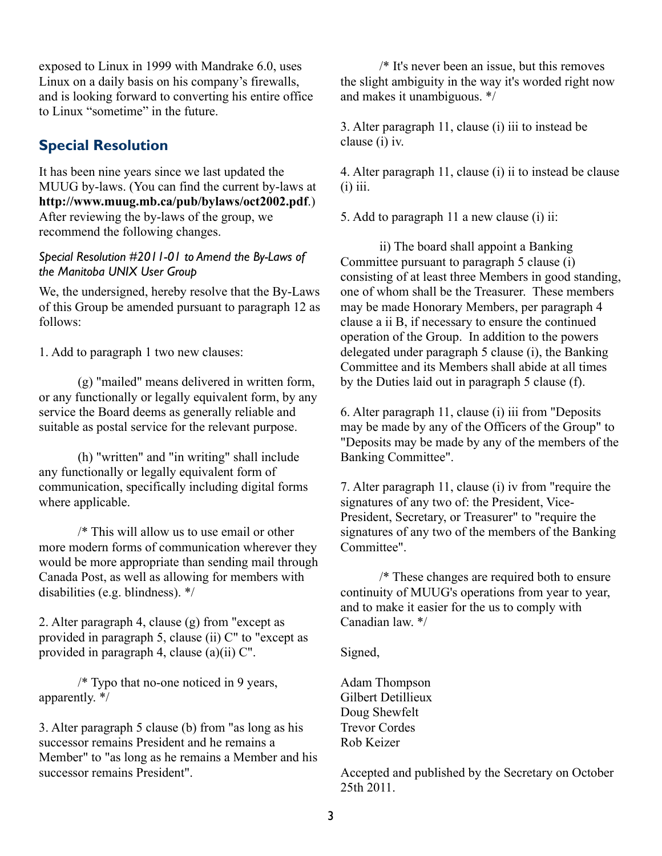exposed to Linux in 1999 with Mandrake 6.0, uses Linux on a daily basis on his company's firewalls, and is looking forward to converting his entire office to Linux "sometime" in the future.

#### **Special Resolution**

It has been nine years since we last updated the MUUG by-laws. (You can find the current by-laws at **<http://www.muug.mb.ca/pub/bylaws/oct2002.pdf>**.) After reviewing the by-laws of the group, we recommend the following changes.

#### *Special Resolution #2011-01 to Amend the By-Laws of the Manitoba UNIX User Group*

We, the undersigned, hereby resolve that the By-Laws of this Group be amended pursuant to paragraph 12 as follows:

1. Add to paragraph 1 two new clauses:

(g) "mailed" means delivered in written form, or any functionally or legally equivalent form, by any service the Board deems as generally reliable and suitable as postal service for the relevant purpose.

(h) "written" and "in writing" shall include any functionally or legally equivalent form of communication, specifically including digital forms where applicable.

/\* This will allow us to use email or other more modern forms of communication wherever they would be more appropriate than sending mail through Canada Post, as well as allowing for members with disabilities (e.g. blindness). \*/

2. Alter paragraph 4, clause (g) from "except as provided in paragraph 5, clause (ii) C" to "except as provided in paragraph 4, clause (a)(ii) C".

/\* Typo that no-one noticed in 9 years, apparently. \*/

3. Alter paragraph 5 clause (b) from "as long as his successor remains President and he remains a Member" to "as long as he remains a Member and his successor remains President".

/\* It's never been an issue, but this removes the slight ambiguity in the way it's worded right now and makes it unambiguous. \*/

3. Alter paragraph 11, clause (i) iii to instead be clause (i) iv.

4. Alter paragraph 11, clause (i) ii to instead be clause  $(i)$  iii.

5. Add to paragraph 11 a new clause (i) ii:

ii) The board shall appoint a Banking Committee pursuant to paragraph 5 clause (i) consisting of at least three Members in good standing, one of whom shall be the Treasurer. These members may be made Honorary Members, per paragraph 4 clause a ii B, if necessary to ensure the continued operation of the Group. In addition to the powers delegated under paragraph 5 clause (i), the Banking Committee and its Members shall abide at all times by the Duties laid out in paragraph 5 clause (f).

6. Alter paragraph 11, clause (i) iii from "Deposits may be made by any of the Officers of the Group" to "Deposits may be made by any of the members of the Banking Committee".

7. Alter paragraph 11, clause (i) iv from "require the signatures of any two of: the President, Vice-President, Secretary, or Treasurer" to "require the signatures of any two of the members of the Banking Committee".

/\* These changes are required both to ensure continuity of MUUG's operations from year to year, and to make it easier for the us to comply with Canadian law. \*/

Signed,

Adam Thompson Gilbert Detillieux Doug Shewfelt Trevor Cordes Rob Keizer

Accepted and published by the Secretary on October 25th 2011.